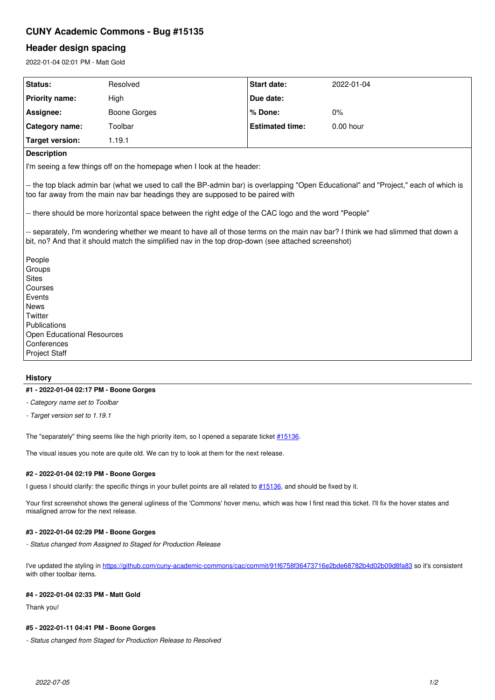# **CUNY Academic Commons - Bug #15135**

## **Header design spacing**

2022-01-04 02:01 PM - Matt Gold

| Status:                                                                                                                                                                                                                                                                                                                                                                                                                                                                                                                                                                     | Resolved            | Start date:            | 2022-01-04  |  |  |
|-----------------------------------------------------------------------------------------------------------------------------------------------------------------------------------------------------------------------------------------------------------------------------------------------------------------------------------------------------------------------------------------------------------------------------------------------------------------------------------------------------------------------------------------------------------------------------|---------------------|------------------------|-------------|--|--|
| <b>Priority name:</b>                                                                                                                                                                                                                                                                                                                                                                                                                                                                                                                                                       |                     | Due date:              |             |  |  |
|                                                                                                                                                                                                                                                                                                                                                                                                                                                                                                                                                                             | High                |                        |             |  |  |
| Assignee:                                                                                                                                                                                                                                                                                                                                                                                                                                                                                                                                                                   | <b>Boone Gorges</b> | % Done:                | 0%          |  |  |
| Category name:                                                                                                                                                                                                                                                                                                                                                                                                                                                                                                                                                              | Toolbar             | <b>Estimated time:</b> | $0.00$ hour |  |  |
| <b>Target version:</b>                                                                                                                                                                                                                                                                                                                                                                                                                                                                                                                                                      | 1.19.1              |                        |             |  |  |
| <b>Description</b>                                                                                                                                                                                                                                                                                                                                                                                                                                                                                                                                                          |                     |                        |             |  |  |
| I'm seeing a few things off on the homepage when I look at the header:                                                                                                                                                                                                                                                                                                                                                                                                                                                                                                      |                     |                        |             |  |  |
| -- the top black admin bar (what we used to call the BP-admin bar) is overlapping "Open Educational" and "Project," each of which is<br>too far away from the main nav bar headings they are supposed to be paired with<br>-- there should be more horizontal space between the right edge of the CAC logo and the word "People"<br>-- separately, I'm wondering whether we meant to have all of those terms on the main nav bar? I think we had slimmed that down a<br>bit, no? And that it should match the simplified nav in the top drop-down (see attached screenshot) |                     |                        |             |  |  |
| People                                                                                                                                                                                                                                                                                                                                                                                                                                                                                                                                                                      |                     |                        |             |  |  |
| Groups                                                                                                                                                                                                                                                                                                                                                                                                                                                                                                                                                                      |                     |                        |             |  |  |
| <b>Sites</b>                                                                                                                                                                                                                                                                                                                                                                                                                                                                                                                                                                |                     |                        |             |  |  |
| Courses                                                                                                                                                                                                                                                                                                                                                                                                                                                                                                                                                                     |                     |                        |             |  |  |
| Events<br><b>News</b>                                                                                                                                                                                                                                                                                                                                                                                                                                                                                                                                                       |                     |                        |             |  |  |
| Twitter                                                                                                                                                                                                                                                                                                                                                                                                                                                                                                                                                                     |                     |                        |             |  |  |
| Publications                                                                                                                                                                                                                                                                                                                                                                                                                                                                                                                                                                |                     |                        |             |  |  |
| <b>Open Educational Resources</b>                                                                                                                                                                                                                                                                                                                                                                                                                                                                                                                                           |                     |                        |             |  |  |
| Conferences                                                                                                                                                                                                                                                                                                                                                                                                                                                                                                                                                                 |                     |                        |             |  |  |
| <b>Project Staff</b>                                                                                                                                                                                                                                                                                                                                                                                                                                                                                                                                                        |                     |                        |             |  |  |
|                                                                                                                                                                                                                                                                                                                                                                                                                                                                                                                                                                             |                     |                        |             |  |  |

## **History**

### **#1 - 2022-01-04 02:17 PM - Boone Gorges**

*- Category name set to Toolbar*

*- Target version set to 1.19.1*

The "separately" thing seems like the high priority item, so I opened a separate ticket [#15136.](https://redmine.gc.cuny.edu/issues/15136)

The visual issues you note are quite old. We can try to look at them for the next release.

#### **#2 - 2022-01-04 02:19 PM - Boone Gorges**

I guess I should clarify: the specific things in your bullet points are all related to [#15136](https://redmine.gc.cuny.edu/issues/15136), and should be fixed by it.

Your first screenshot shows the general ugliness of the 'Commons' hover menu, which was how I first read this ticket. I'll fix the hover states and misaligned arrow for the next release.

### **#3 - 2022-01-04 02:29 PM - Boone Gorges**

*- Status changed from Assigned to Staged for Production Release*

I've updated the styling in<https://github.com/cuny-academic-commons/cac/commit/91f6758f36473716e2bde68782b4d02b09d8fa83></u> so it's consistent with other toolbar items.

#### **#4 - 2022-01-04 02:33 PM - Matt Gold**

Thank you!

#### **#5 - 2022-01-11 04:41 PM - Boone Gorges**

*- Status changed from Staged for Production Release to Resolved*